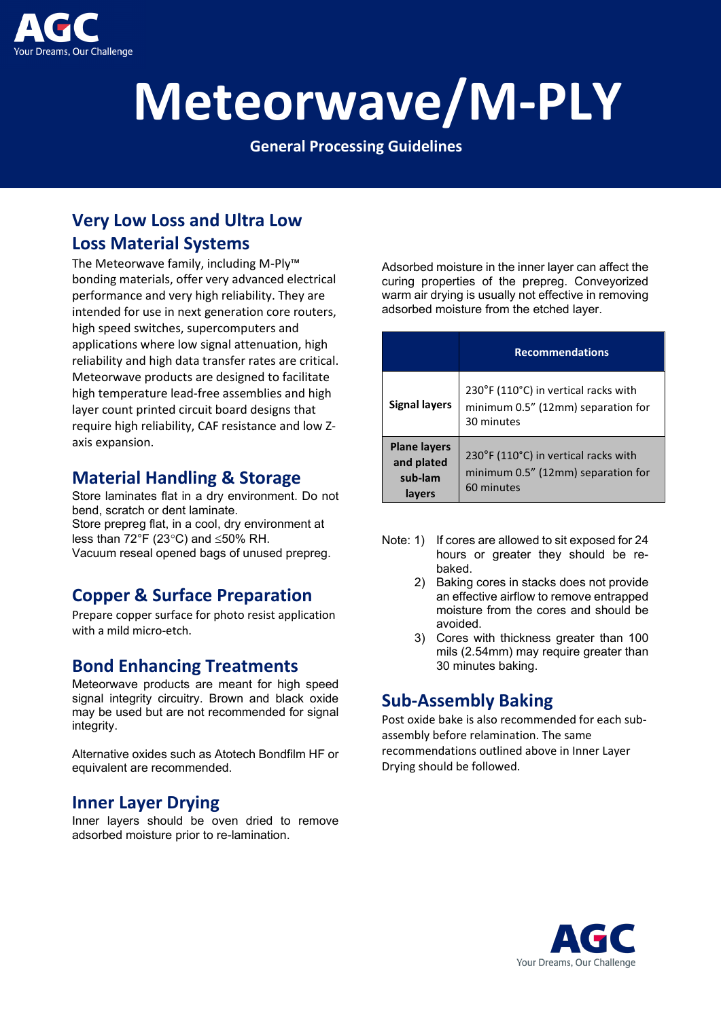

# **Meteorwave/M-PLY**

**General Processing Guidelines**

# **Very Low Loss and Ultra Low Loss Material Systems**

The Meteorwave family, including M-Ply™ bonding materials, offer very advanced electrical performance and very high reliability. They are intended for use in next generation core routers, high speed switches, supercomputers and applications where low signal attenuation, high reliability and high data transfer rates are critical. Meteorwave products are designed to facilitate high temperature lead-free assemblies and high layer count printed circuit board designs that require high reliability, CAF resistance and low Zaxis expansion.

#### **Material Handling & Storage**

Store laminates flat in a dry environment. Do not bend, scratch or dent laminate. Store prepreg flat, in a cool, dry environment at less than 72°F (23°C) and ≤50% RH. Vacuum reseal opened bags of unused prepreg.

## **Copper & Surface Preparation**

Prepare copper surface for photo resist application with a mild micro-etch.

#### **Bond Enhancing Treatments**

Meteorwave products are meant for high speed signal integrity circuitry. Brown and black oxide may be used but are not recommended for signal integrity.

Alternative oxides such as Atotech Bondfilm HF or equivalent are recommended.

#### **Inner Layer Drying**

Inner layers should be oven dried to remove adsorbed moisture prior to re-lamination.

Adsorbed moisture in the inner layer can affect the curing properties of the prepreg. Conveyorized warm air drying is usually not effective in removing adsorbed moisture from the etched layer.

|                                                        | <b>Recommendations</b>                                                                   |
|--------------------------------------------------------|------------------------------------------------------------------------------------------|
| <b>Signal layers</b>                                   | 230°F (110°C) in vertical racks with<br>minimum 0.5" (12mm) separation for<br>30 minutes |
| <b>Plane layers</b><br>and plated<br>sub-lam<br>lavers | 230°F (110°C) in vertical racks with<br>minimum 0.5" (12mm) separation for<br>60 minutes |

- Note: 1) If cores are allowed to sit exposed for 24 hours or greater they should be rebaked.
	- 2) Baking cores in stacks does not provide an effective airflow to remove entrapped moisture from the cores and should be avoided.
	- 3) Cores with thickness greater than 100 mils (2.54mm) may require greater than 30 minutes baking.

## **Sub-Assembly Baking**

Post oxide bake is also recommended for each subassembly before relamination. The same recommendations outlined above in Inner Layer Drying should be followed.

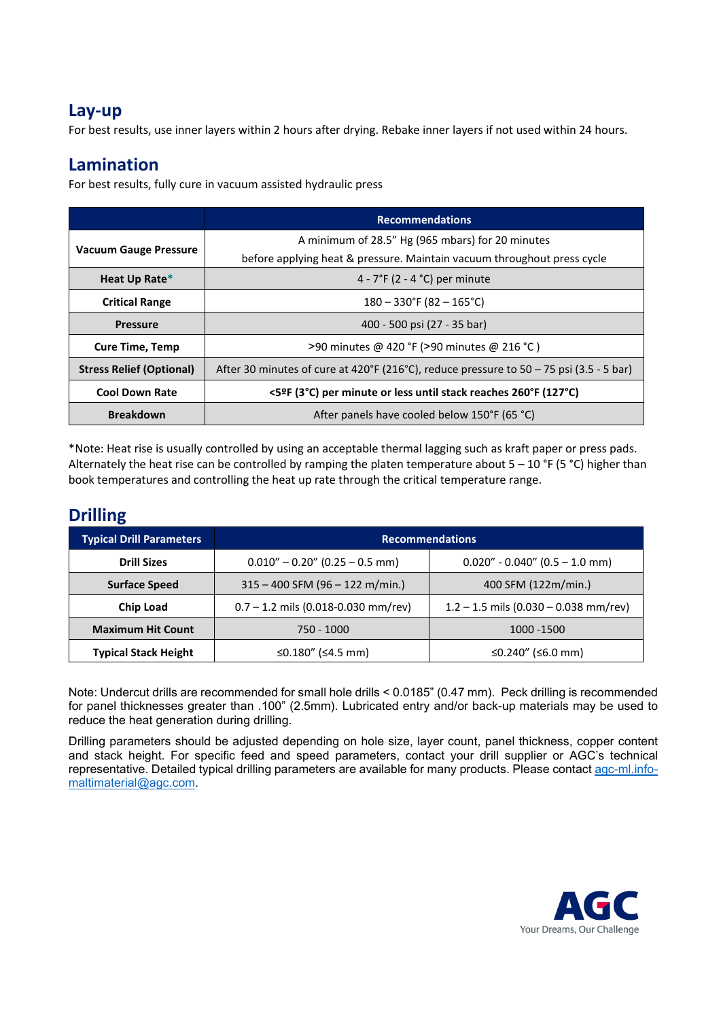#### **Lay-up**

For best results, use inner layers within 2 hours after drying. Rebake inner layers if not used within 24 hours.

#### **Lamination**

For best results, fully cure in vacuum assisted hydraulic press

|                                 | <b>Recommendations</b>                                                                                                      |  |
|---------------------------------|-----------------------------------------------------------------------------------------------------------------------------|--|
| <b>Vacuum Gauge Pressure</b>    | A minimum of 28.5" Hg (965 mbars) for 20 minutes<br>before applying heat & pressure. Maintain vacuum throughout press cycle |  |
| Heat Up Rate*                   | 4 - $7^{\circ}F$ (2 - 4 $^{\circ}C$ ) per minute                                                                            |  |
| <b>Critical Range</b>           | $180 - 330$ °F (82 – 165°C)                                                                                                 |  |
| <b>Pressure</b>                 | 400 - 500 psi (27 - 35 bar)                                                                                                 |  |
| <b>Cure Time, Temp</b>          | >90 minutes @ 420 °F (>90 minutes @ 216 °C)                                                                                 |  |
| <b>Stress Relief (Optional)</b> | After 30 minutes of cure at 420°F (216°C), reduce pressure to 50 - 75 psi (3.5 - 5 bar)                                     |  |
| <b>Cool Down Rate</b>           | <5ºF (3°C) per minute or less until stack reaches 260°F (127°C)                                                             |  |
| <b>Breakdown</b>                | After panels have cooled below 150°F (65 °C)                                                                                |  |

\*Note: Heat rise is usually controlled by using an acceptable thermal lagging such as kraft paper or press pads. Alternately the heat rise can be controlled by ramping the platen temperature about  $5 - 10$  °F (5 °C) higher than book temperatures and controlling the heat up rate through the critical temperature range.

## **Drilling**

| <b>Typical Drill Parameters</b> | <b>Recommendations</b>                |                                         |  |
|---------------------------------|---------------------------------------|-----------------------------------------|--|
| <b>Drill Sizes</b>              | $0.010'' - 0.20''$ (0.25 - 0.5 mm)    | $0.020" - 0.040"$ (0.5 - 1.0 mm)        |  |
| <b>Surface Speed</b>            | $315 - 400$ SFM (96 - 122 m/min.)     | 400 SFM (122m/min.)                     |  |
| <b>Chip Load</b>                | $0.7 - 1.2$ mils (0.018-0.030 mm/rev) | $1.2 - 1.5$ mils (0.030 - 0.038 mm/rev) |  |
| <b>Maximum Hit Count</b>        | 750 - 1000<br>1000 - 1500             |                                         |  |
| <b>Typical Stack Height</b>     | ≤0.180" (≤4.5 mm)                     | ≤0.240" (≤6.0 mm)                       |  |

Note: Undercut drills are recommended for small hole drills < 0.0185" (0.47 mm). Peck drilling is recommended for panel thicknesses greater than .100" (2.5mm). Lubricated entry and/or back-up materials may be used to reduce the heat generation during drilling.

Drilling parameters should be adjusted depending on hole size, layer count, panel thickness, copper content and stack height. For specific feed and speed parameters, contact your drill supplier or AGC's technical representative. Detailed typical drilling parameters are available for many products. Please contact [agc-ml.info](mailto:agc-ml.info-maltimaterial@agc.com)[maltimaterial@agc.com.](mailto:agc-ml.info-maltimaterial@agc.com)

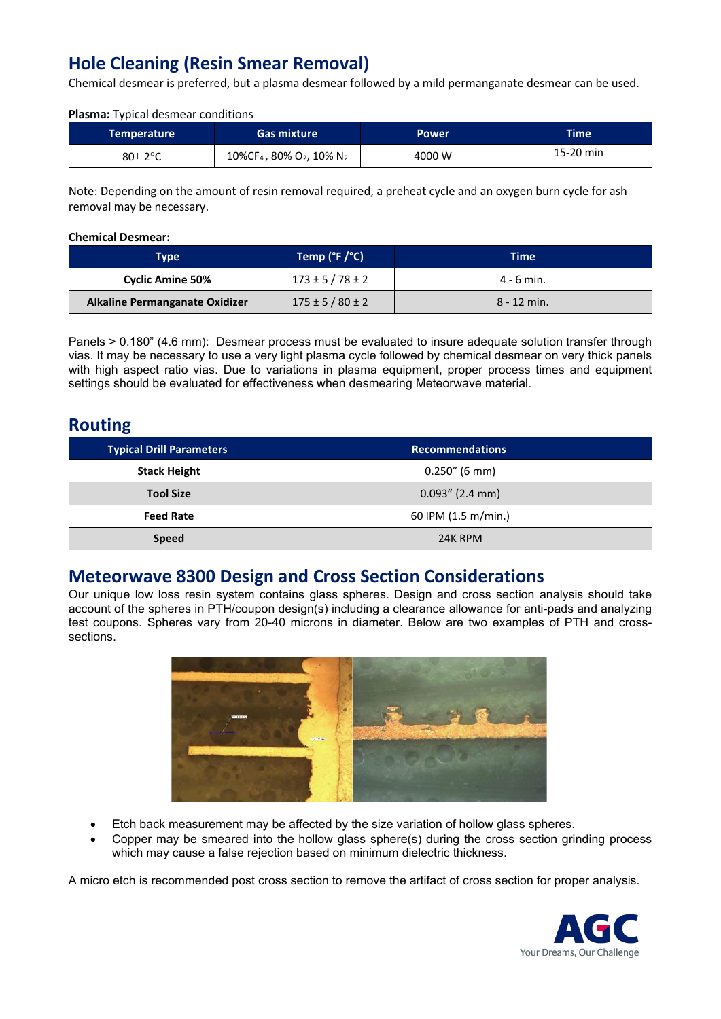# **Hole Cleaning (Resin Smear Removal)**

Chemical desmear is preferred, but a plasma desmear followed by a mild permanganate desmear can be used.

#### **Plasma:** Typical desmear conditions

| Temperature | <b>Gas mixture</b>                                           | Power  | Time'     |
|-------------|--------------------------------------------------------------|--------|-----------|
| 80± 2°C     | 10%CF <sub>4</sub> , 80% O <sub>2</sub> , 10% N <sub>2</sub> | 4000 W | 15-20 min |

Note: Depending on the amount of resin removal required, a preheat cycle and an oxygen burn cycle for ash removal may be necessary.

#### **Chemical Desmear:**

| <b>Type</b>                    | Temp ( $\degree$ F / $\degree$ C) | Time          |
|--------------------------------|-----------------------------------|---------------|
| <b>Cyclic Amine 50%</b>        | $173 \pm 5 / 78 \pm 2$            | $4 - 6$ min.  |
| Alkaline Permanganate Oxidizer | $175 \pm 5 / 80 \pm 2$            | $8 - 12$ min. |

Panels > 0.180" (4.6 mm): Desmear process must be evaluated to insure adequate solution transfer through vias. It may be necessary to use a very light plasma cycle followed by chemical desmear on very thick panels with high aspect ratio vias. Due to variations in plasma equipment, proper process times and equipment settings should be evaluated for effectiveness when desmearing Meteorwave material.

#### **Routing**

| <b>Typical Drill Parameters</b> | <b>Recommendations</b> |
|---------------------------------|------------------------|
| <b>Stack Height</b>             | $0.250''$ (6 mm)       |
| <b>Tool Size</b>                | $0.093''$ (2.4 mm)     |
| <b>Feed Rate</b>                | 60 IPM (1.5 m/min.)    |
| <b>Speed</b>                    | 24K RPM                |

#### **Meteorwave 8300 Design and Cross Section Considerations**

Our unique low loss resin system contains glass spheres. Design and cross section analysis should take account of the spheres in PTH/coupon design(s) including a clearance allowance for anti-pads and analyzing test coupons. Spheres vary from 20-40 microns in diameter. Below are two examples of PTH and crosssections.



- Etch back measurement may be affected by the size variation of hollow glass spheres.
- Copper may be smeared into the hollow glass sphere(s) during the cross section grinding process which may cause a false rejection based on minimum dielectric thickness.

A micro etch is recommended post cross section to remove the artifact of cross section for proper analysis.